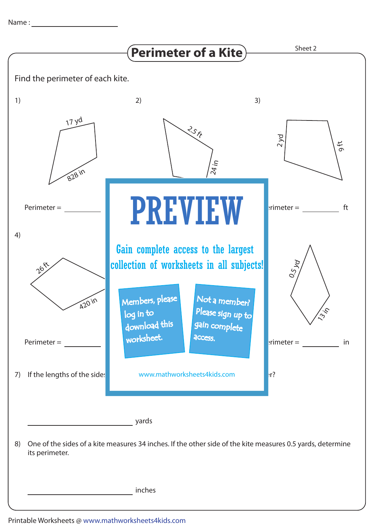